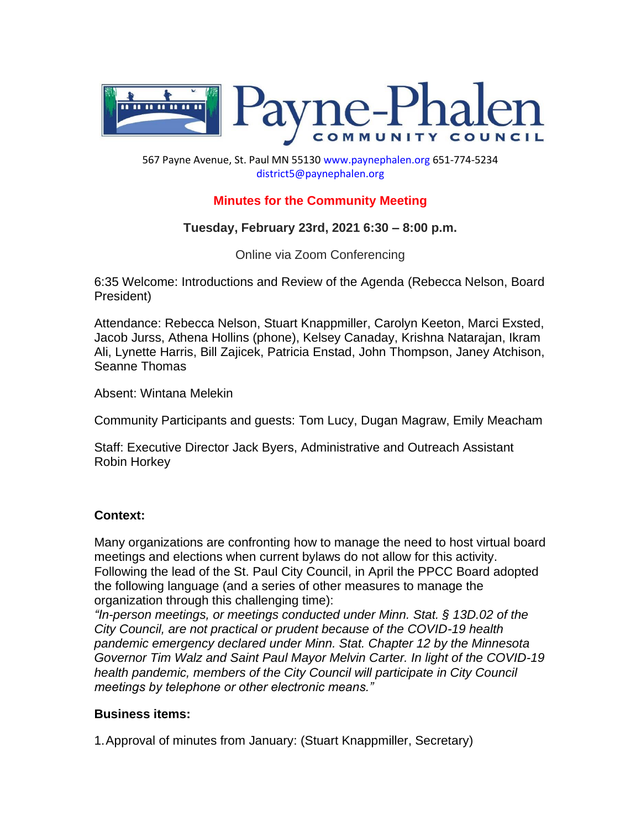

567 Payne Avenue, St. Paul MN 55130 www.paynephalen.org 651-774-5234 district5@paynephalen.org

# **Minutes for the Community Meeting**

# **Tuesday, February 23rd, 2021 6:30 – 8:00 p.m.**

Online via Zoom Conferencing

6:35 Welcome: Introductions and Review of the Agenda (Rebecca Nelson, Board President)

Attendance: Rebecca Nelson, Stuart Knappmiller, Carolyn Keeton, Marci Exsted, Jacob Jurss, Athena Hollins (phone), Kelsey Canaday, Krishna Natarajan, Ikram Ali, Lynette Harris, Bill Zajicek, Patricia Enstad, John Thompson, Janey Atchison, Seanne Thomas

Absent: Wintana Melekin

Community Participants and guests: Tom Lucy, Dugan Magraw, Emily Meacham

Staff: Executive Director Jack Byers, Administrative and Outreach Assistant Robin Horkey

#### **Context:**

Many organizations are confronting how to manage the need to host virtual board meetings and elections when current bylaws do not allow for this activity. Following the lead of the St. Paul City Council, in April the PPCC Board adopted the following language (and a series of other measures to manage the organization through this challenging time):

*"In-person meetings, or meetings conducted under Minn. Stat. § 13D.02 of the City Council, are not practical or prudent because of the COVID-19 health pandemic emergency declared under Minn. Stat. Chapter 12 by the Minnesota Governor Tim Walz and Saint Paul Mayor Melvin Carter. In light of the COVID-19 health pandemic, members of the City Council will participate in City Council meetings by telephone or other electronic means."*

#### **Business items:**

1.Approval of minutes from January: (Stuart Knappmiller, Secretary)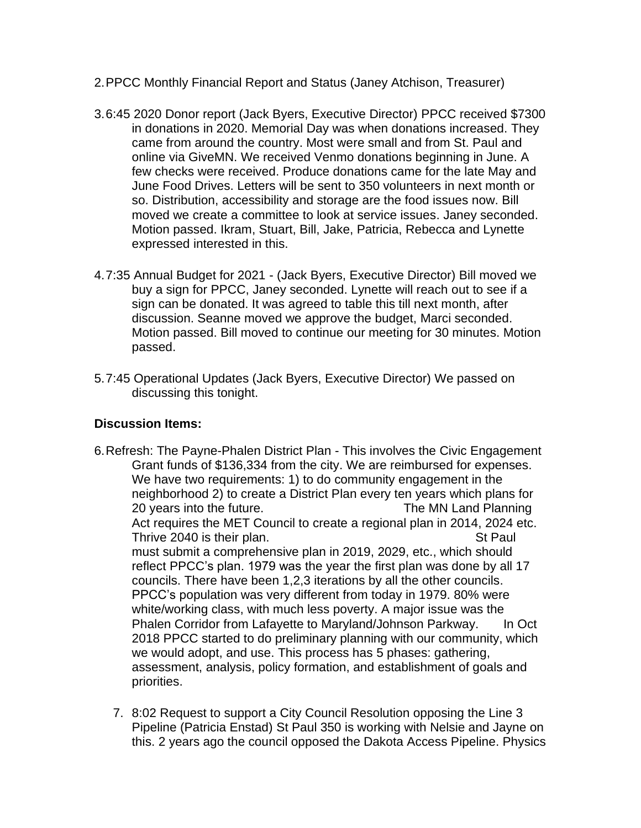- 2.PPCC Monthly Financial Report and Status (Janey Atchison, Treasurer)
- 3.6:45 2020 Donor report (Jack Byers, Executive Director) PPCC received \$7300 in donations in 2020. Memorial Day was when donations increased. They came from around the country. Most were small and from St. Paul and online via GiveMN. We received Venmo donations beginning in June. A few checks were received. Produce donations came for the late May and June Food Drives. Letters will be sent to 350 volunteers in next month or so. Distribution, accessibility and storage are the food issues now. Bill moved we create a committee to look at service issues. Janey seconded. Motion passed. Ikram, Stuart, Bill, Jake, Patricia, Rebecca and Lynette expressed interested in this.
- 4.7:35 Annual Budget for 2021 (Jack Byers, Executive Director) Bill moved we buy a sign for PPCC, Janey seconded. Lynette will reach out to see if a sign can be donated. It was agreed to table this till next month, after discussion. Seanne moved we approve the budget, Marci seconded. Motion passed. Bill moved to continue our meeting for 30 minutes. Motion passed.
- 5.7:45 Operational Updates (Jack Byers, Executive Director) We passed on discussing this tonight.

#### **Discussion Items:**

- 6.Refresh: The Payne-Phalen District Plan This involves the Civic Engagement Grant funds of \$136,334 from the city. We are reimbursed for expenses. We have two requirements: 1) to do community engagement in the neighborhood 2) to create a District Plan every ten years which plans for 20 years into the future. The MN Land Planning Act requires the MET Council to create a regional plan in 2014, 2024 etc. Thrive 2040 is their plan. Thrive 2040 is their plan. must submit a comprehensive plan in 2019, 2029, etc., which should reflect PPCC's plan. 1979 was the year the first plan was done by all 17 councils. There have been 1,2,3 iterations by all the other councils. PPCC's population was very different from today in 1979. 80% were white/working class, with much less poverty. A major issue was the Phalen Corridor from Lafayette to Maryland/Johnson Parkway. In Oct 2018 PPCC started to do preliminary planning with our community, which we would adopt, and use. This process has 5 phases: gathering, assessment, analysis, policy formation, and establishment of goals and priorities.
	- 7. 8:02 Request to support a City Council Resolution opposing the Line 3 Pipeline (Patricia Enstad) St Paul 350 is working with Nelsie and Jayne on this. 2 years ago the council opposed the Dakota Access Pipeline. Physics